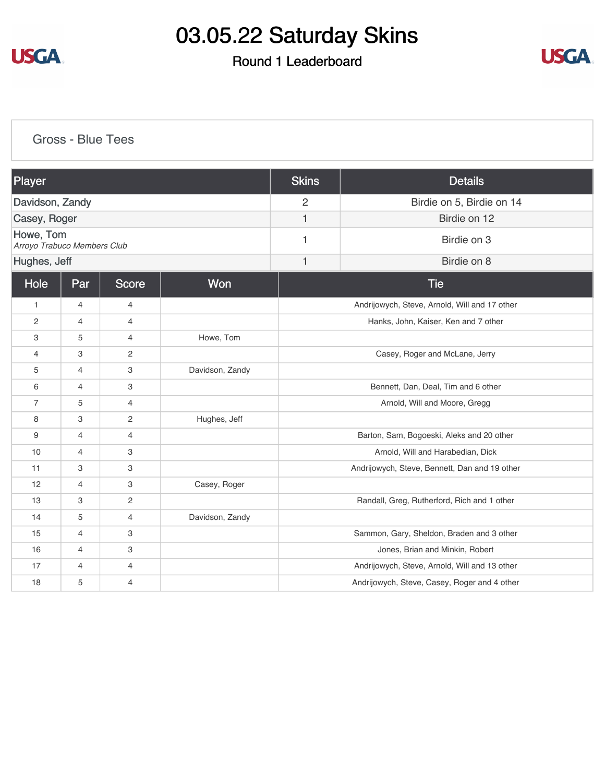

### Round 1 Leaderboard



[Gross - Blue Tees](https://cdn2.golfgenius.com/v2tournaments/8269129156449558878?called_from=&round_index=1)

| Player                                   |                |                |                 | <b>Skins</b>                                  | <b>Details</b>                            |  |
|------------------------------------------|----------------|----------------|-----------------|-----------------------------------------------|-------------------------------------------|--|
| Davidson, Zandy                          |                |                |                 | $\overline{2}$                                | Birdie on 5, Birdie on 14                 |  |
| Casey, Roger                             |                |                |                 | 1                                             | Birdie on 12                              |  |
| Howe, Tom<br>Arroyo Trabuco Members Club |                |                |                 | 1                                             | Birdie on 3                               |  |
| Hughes, Jeff                             |                |                |                 | $\mathbf{1}$                                  | Birdie on 8                               |  |
| Hole                                     | Par            | <b>Score</b>   | Won             |                                               | <b>Tie</b>                                |  |
| $\mathbf{1}$                             | 4              | $\overline{4}$ |                 | Andrijowych, Steve, Arnold, Will and 17 other |                                           |  |
| 2                                        | 4              | 4              |                 | Hanks, John, Kaiser, Ken and 7 other          |                                           |  |
| 3                                        | 5              | $\overline{4}$ | Howe, Tom       |                                               |                                           |  |
| $\overline{4}$                           | 3              | $\overline{2}$ |                 | Casey, Roger and McLane, Jerry                |                                           |  |
| 5                                        | $\overline{4}$ | 3              | Davidson, Zandy |                                               |                                           |  |
| 6                                        | $\overline{4}$ | 3              |                 | Bennett, Dan, Deal, Tim and 6 other           |                                           |  |
| $\overline{7}$                           | 5              | $\overline{4}$ |                 | Arnold, Will and Moore, Gregg                 |                                           |  |
| 8                                        | 3              | $\overline{2}$ | Hughes, Jeff    |                                               |                                           |  |
| 9                                        | 4              | $\overline{4}$ |                 | Barton, Sam, Bogoeski, Aleks and 20 other     |                                           |  |
| 10                                       | 4              | 3              |                 | Arnold, Will and Harabedian, Dick             |                                           |  |
| 11                                       | 3              | 3              |                 | Andrijowych, Steve, Bennett, Dan and 19 other |                                           |  |
| 12                                       | $\overline{4}$ | 3              | Casey, Roger    |                                               |                                           |  |
| 13                                       | 3              | $\overline{c}$ |                 | Randall, Greg, Rutherford, Rich and 1 other   |                                           |  |
| 14                                       | 5              | $\overline{4}$ | Davidson, Zandy |                                               |                                           |  |
| 15                                       | $\overline{4}$ | 3              |                 |                                               | Sammon, Gary, Sheldon, Braden and 3 other |  |
| 16                                       | 4              | 3              |                 | Jones, Brian and Minkin, Robert               |                                           |  |
| 17                                       | 4              | $\overline{4}$ |                 | Andrijowych, Steve, Arnold, Will and 13 other |                                           |  |
| 18                                       | 5              | $\overline{4}$ |                 | Andrijowych, Steve, Casey, Roger and 4 other  |                                           |  |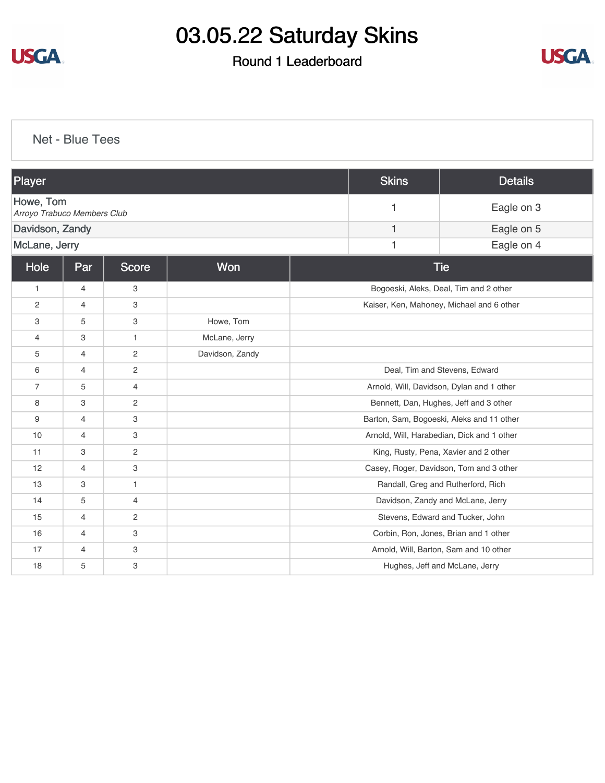

### Round 1 Leaderboard



[Net - Blue Tees](https://cdn2.golfgenius.com/v2tournaments/8269129768817942879?called_from=&round_index=1)

| Player                                   |                |                |                 |                                           | <b>Skins</b> | <b>Details</b>                             |
|------------------------------------------|----------------|----------------|-----------------|-------------------------------------------|--------------|--------------------------------------------|
| Howe, Tom<br>Arroyo Trabuco Members Club |                |                |                 |                                           | 1            | Eagle on 3                                 |
| Davidson, Zandy                          |                |                |                 |                                           | 1            | Eagle on 5                                 |
|                                          | McLane, Jerry  |                |                 |                                           |              | Eagle on 4                                 |
| Hole<br>Won<br>Par<br><b>Score</b>       |                |                |                 |                                           |              | <b>Tie</b>                                 |
| $\mathbf{1}$                             | 4              | 3              |                 |                                           |              | Bogoeski, Aleks, Deal, Tim and 2 other     |
| $\overline{2}$                           | $\overline{4}$ | 3              |                 | Kaiser, Ken, Mahoney, Michael and 6 other |              |                                            |
| 3                                        | 5              | 3              | Howe, Tom       |                                           |              |                                            |
| $\overline{4}$                           | 3              | $\mathbf{1}$   | McLane, Jerry   |                                           |              |                                            |
| 5                                        | 4              | 2              | Davidson, Zandy |                                           |              |                                            |
| 6                                        | $\overline{4}$ | 2              |                 |                                           |              | Deal, Tim and Stevens, Edward              |
| $\overline{7}$                           | 5              | $\overline{4}$ |                 |                                           |              | Arnold, Will, Davidson, Dylan and 1 other  |
| 8                                        | 3              | 2              |                 |                                           |              | Bennett, Dan, Hughes, Jeff and 3 other     |
| 9                                        | 4              | 3              |                 |                                           |              | Barton, Sam, Bogoeski, Aleks and 11 other  |
| 10                                       | 4              | 3              |                 |                                           |              | Arnold, Will, Harabedian, Dick and 1 other |
| 11                                       | 3              | 2              |                 |                                           |              | King, Rusty, Pena, Xavier and 2 other      |
| 12                                       | $\overline{4}$ | 3              |                 |                                           |              | Casey, Roger, Davidson, Tom and 3 other    |
| 13                                       | 3              | $\mathbf{1}$   |                 |                                           |              | Randall, Greg and Rutherford, Rich         |
| 14                                       | 5              | 4              |                 |                                           |              | Davidson, Zandy and McLane, Jerry          |
| 15                                       | 4              | 2              |                 |                                           |              | Stevens, Edward and Tucker, John           |
| 16                                       | 4              | 3              |                 |                                           |              | Corbin, Ron, Jones, Brian and 1 other      |
| 17                                       | 4              | 3              |                 |                                           |              | Arnold, Will, Barton, Sam and 10 other     |
| 18                                       | 5              | 3              |                 |                                           |              | Hughes, Jeff and McLane, Jerry             |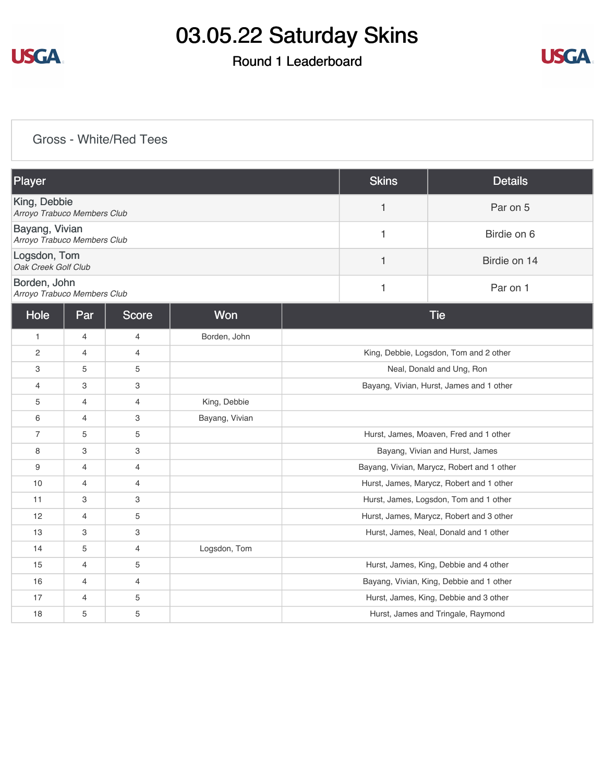

### Round 1 Leaderboard



#### [Gross - White/Red Tees](https://cdn2.golfgenius.com/v2tournaments/8269130444839084384?called_from=&round_index=1)

| Player                                        |                |                |                |                                            | <b>Skins</b>                             | <b>Details</b>                           |
|-----------------------------------------------|----------------|----------------|----------------|--------------------------------------------|------------------------------------------|------------------------------------------|
| King, Debbie<br>Arroyo Trabuco Members Club   |                |                |                |                                            | 1                                        | Par on 5                                 |
| Bayang, Vivian<br>Arroyo Trabuco Members Club |                |                |                |                                            | 1                                        | Birdie on 6                              |
| Logsdon, Tom<br>Oak Creek Golf Club           |                |                |                |                                            | 1                                        | Birdie on 14                             |
| Borden, John<br>Arroyo Trabuco Members Club   |                |                |                |                                            | $\mathbf{1}$                             | Par on 1                                 |
| Hole                                          | Par            | <b>Score</b>   | Won            |                                            |                                          | <b>Tie</b>                               |
| $\mathbf{1}$                                  | $\overline{4}$ | 4              | Borden, John   |                                            |                                          |                                          |
| $\overline{2}$                                | $\overline{4}$ | 4              |                | King, Debbie, Logsdon, Tom and 2 other     |                                          |                                          |
| 3                                             | 5              | 5              |                | Neal, Donald and Ung, Ron                  |                                          |                                          |
| $\overline{4}$                                | 3              | 3              |                | Bayang, Vivian, Hurst, James and 1 other   |                                          |                                          |
| 5                                             | $\overline{4}$ | 4              | King, Debbie   |                                            |                                          |                                          |
| 6                                             | $\overline{4}$ | 3              | Bayang, Vivian |                                            |                                          |                                          |
| $\overline{7}$                                | 5              | 5              |                |                                            |                                          | Hurst, James, Moaven, Fred and 1 other   |
| 8                                             | 3              | 3              |                | Bayang, Vivian and Hurst, James            |                                          |                                          |
| 9                                             | $\overline{4}$ | 4              |                | Bayang, Vivian, Marycz, Robert and 1 other |                                          |                                          |
| 10                                            | $\overline{4}$ | 4              |                |                                            | Hurst, James, Marycz, Robert and 1 other |                                          |
| 11                                            | 3              | 3              |                |                                            | Hurst, James, Logsdon, Tom and 1 other   |                                          |
| 12                                            | $\overline{4}$ | 5              |                | Hurst, James, Marycz, Robert and 3 other   |                                          |                                          |
| 13                                            | 3              | 3              |                | Hurst, James, Neal, Donald and 1 other     |                                          |                                          |
| 14                                            | 5              | $\overline{4}$ | Logsdon, Tom   |                                            |                                          |                                          |
| 15                                            | $\overline{4}$ | 5              |                |                                            |                                          | Hurst, James, King, Debbie and 4 other   |
| 16                                            | $\overline{4}$ | 4              |                |                                            |                                          | Bayang, Vivian, King, Debbie and 1 other |
| 17                                            | $\overline{4}$ | 5              |                |                                            |                                          | Hurst, James, King, Debbie and 3 other   |
| 18                                            | 5              | 5              |                |                                            |                                          | Hurst, James and Tringale, Raymond       |